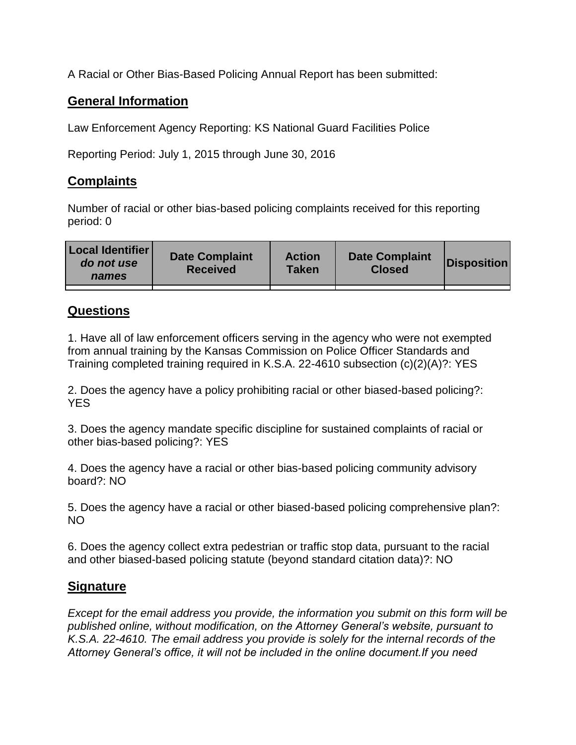A Racial or Other Bias-Based Policing Annual Report has been submitted:

## **General Information**

Law Enforcement Agency Reporting: KS National Guard Facilities Police

Reporting Period: July 1, 2015 through June 30, 2016

## **Complaints**

Number of racial or other bias-based policing complaints received for this reporting period: 0

| <b>Local Identifier</b><br>do not use<br>names | <b>Date Complaint</b><br><b>Received</b> | <b>Action</b><br><b>Taken</b> | <b>Date Complaint</b><br><b>Closed</b> | Disposition |
|------------------------------------------------|------------------------------------------|-------------------------------|----------------------------------------|-------------|
|                                                |                                          |                               |                                        |             |

## **Questions**

1. Have all of law enforcement officers serving in the agency who were not exempted from annual training by the Kansas Commission on Police Officer Standards and Training completed training required in K.S.A. 22-4610 subsection (c)(2)(A)?: YES

2. Does the agency have a policy prohibiting racial or other biased-based policing?: YES

3. Does the agency mandate specific discipline for sustained complaints of racial or other bias-based policing?: YES

4. Does the agency have a racial or other bias-based policing community advisory board?: NO

5. Does the agency have a racial or other biased-based policing comprehensive plan?: NO

6. Does the agency collect extra pedestrian or traffic stop data, pursuant to the racial and other biased-based policing statute (beyond standard citation data)?: NO

## **Signature**

*Except for the email address you provide, the information you submit on this form will be published online, without modification, on the Attorney General's website, pursuant to K.S.A. 22-4610. The email address you provide is solely for the internal records of the Attorney General's office, it will not be included in the online document.If you need*